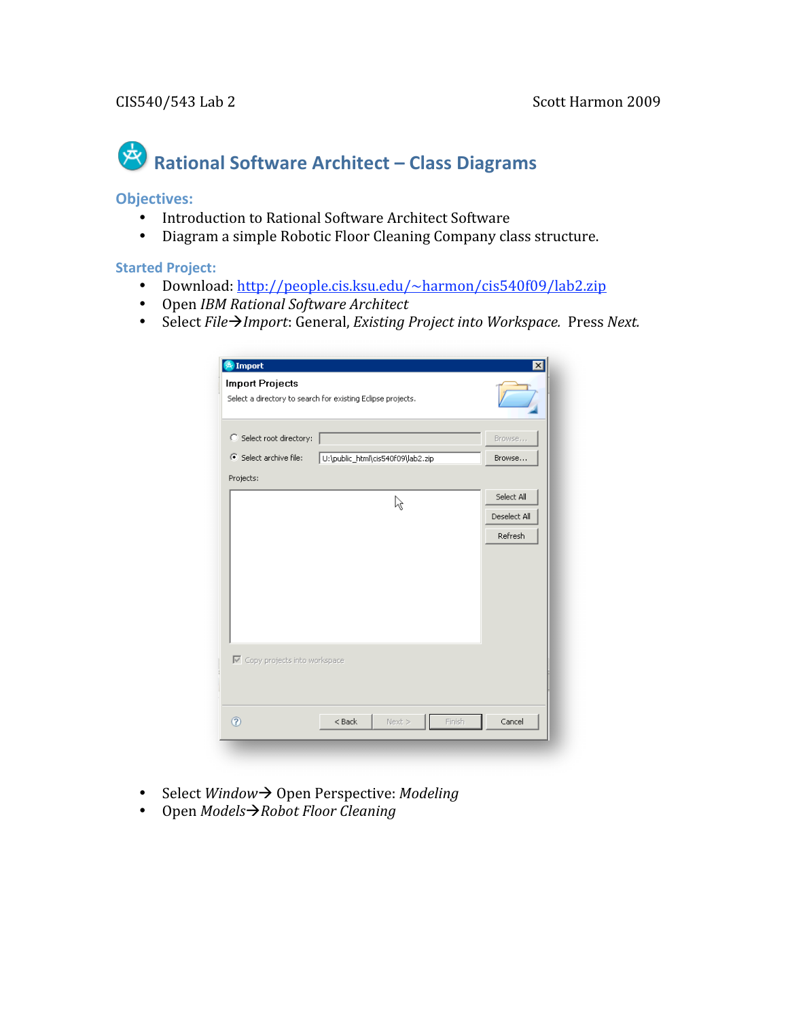# Rational Software Architect – Class Diagrams

#### **Objectives:**

- Introduction to Rational Software Architect Software
- Diagram
a
simple
Robotic
Floor
Cleaning
Company
class
structure.

#### **Started
Project:**

- Download: http://people.cis.ksu.edu/~harmon/cis540f09/lab2.zip
- Open *IBM
Rational
Software
Architect*
- Select File  $\rightarrow$  *Import*: General, *Existing Project into Workspace.* Press Next.

| Import<br><b>Import Projects</b><br>Select a directory to search for existing Eclipse projects. |                                   |              |
|-------------------------------------------------------------------------------------------------|-----------------------------------|--------------|
| Select root directory:                                                                          |                                   | Browse       |
| Select archive file:                                                                            | U:\public_html\cis540f09\lab2.zip | Browse       |
| Projects:                                                                                       |                                   |              |
|                                                                                                 | ৸                                 | Select All   |
|                                                                                                 |                                   | Deselect All |
|                                                                                                 |                                   | Refresh      |
|                                                                                                 |                                   |              |
| ☑ Copy projects into workspace                                                                  |                                   |              |
| $\circledR$                                                                                     | $<$ Back<br>Next ><br>Finish      | Cancel       |

- Select *Window* > Open Perspective: Modeling
- Open *ModelsRobot
Floor
Cleaning*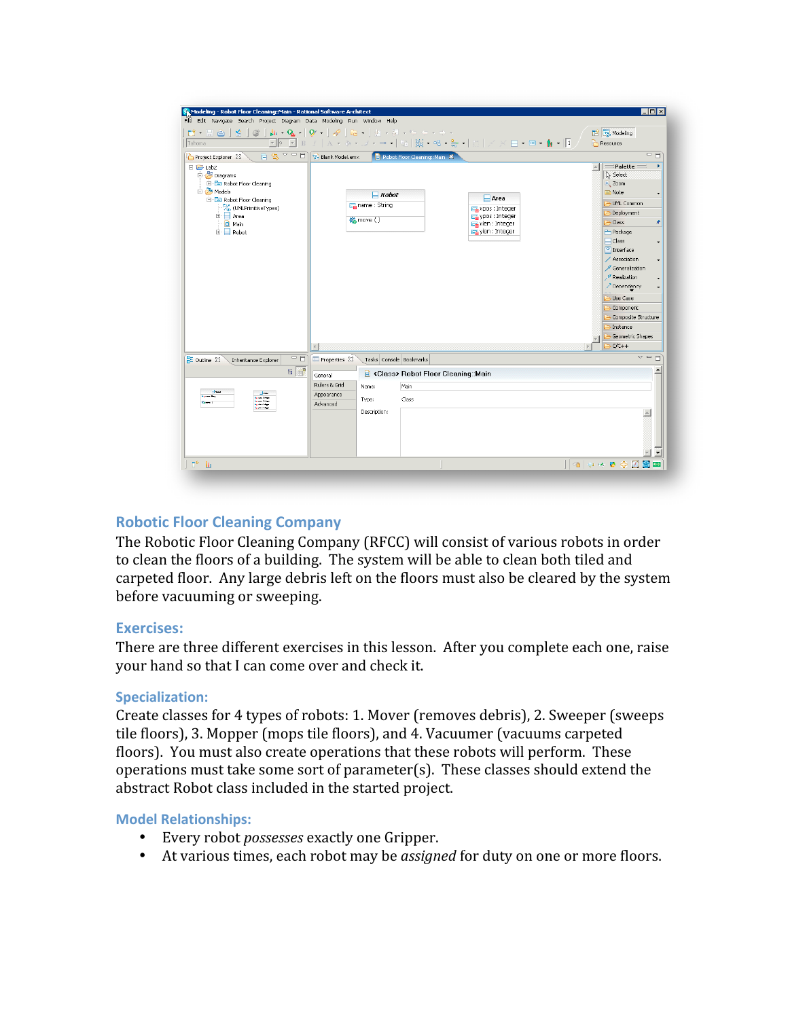| Modeling - Robot Floor Cleaning: Main - Rational Software Architect                                                                                                                                                             |                                                                                                                                                                                                                             | $\Box$ D $\Box$                                                                                                                                                                                                                                                                                                                             |  |  |
|---------------------------------------------------------------------------------------------------------------------------------------------------------------------------------------------------------------------------------|-----------------------------------------------------------------------------------------------------------------------------------------------------------------------------------------------------------------------------|---------------------------------------------------------------------------------------------------------------------------------------------------------------------------------------------------------------------------------------------------------------------------------------------------------------------------------------------|--|--|
| File Edit Navigate Search Project Diagram Data Modeling Run Window Help                                                                                                                                                         |                                                                                                                                                                                                                             |                                                                                                                                                                                                                                                                                                                                             |  |  |
| Tahoma                                                                                                                                                                                                                          | <u>▼୭ ▼ β ≠   A ▼ � ▼ <i>Ĵ</i> ▼ → ▼   많   滋 ▼ º ▼ æ ▼   □   / × ⊟ ▼ <b>□ - N</b> ▼ <mark> </mark> I</u>                                                                                                                    | <b>R</b> Modeling<br>Resource                                                                                                                                                                                                                                                                                                               |  |  |
| Project Explorer 23<br>日 <del>启</del> Lab2<br>白 <sup>39</sup> Diagrams<br>Robot Floor Cleaning<br>Models<br>Robot Floor Cleaning<br><b>P<sub>(b</sub></b> (UMLPrimitiveTypes)<br><b>E</b> Area<br>$\Box$ Main<br><b>E</b> Robot | $\Box$ $\leftarrow$ $\Box$ $\Box$ Blank Model.emx<br>Robot Floor Cleaning: Main X<br>$\Box$ Robot<br>$\Box$ Area<br>Fa name : String<br>paxpos : Integer<br>ypos : Integer<br>6 move ()<br>xlen : Integer<br>ylen : Integer | 一日<br>Palette<br>$\blacktriangle$<br><b>A</b> Select<br>$\rightarrow$ Zoom<br>$\Rightarrow$ Note<br>UML Common<br>Deployment<br>Class<br>۰<br>Package<br>$\Box$ Class<br><b>四</b> Interface<br>/ Association<br>Generalization<br>Realization<br>Dependency<br>Use Case<br>Component<br>Composite Structure<br>Instance<br>Geometric Shapes |  |  |
|                                                                                                                                                                                                                                 | $\blacktriangleleft$                                                                                                                                                                                                        | $C/C++$                                                                                                                                                                                                                                                                                                                                     |  |  |
| $=$ $\Box$<br>$\frac{D}{D}$ Outline $23$<br>Inheritance Explorer                                                                                                                                                                | Properties 23<br>Tasks Console Bookmarks                                                                                                                                                                                    | $\mathop{\nabla}\, =$<br>П                                                                                                                                                                                                                                                                                                                  |  |  |
| 日日<br>معداد<br>$\pm$ $\sim$<br>and the<br>÷-                                                                                                                                                                                    | <b>B</b> <class> Robot Floor Cleaning::Main<br/>General<br/>Rulers &amp; Grid<br/>Main<br/>Name:<br/>Appearance<br/>Class<br/>Type:<br/>Advanced</class>                                                                    | $\blacktriangle$                                                                                                                                                                                                                                                                                                                            |  |  |
| <b>Contract</b>                                                                                                                                                                                                                 | Description:                                                                                                                                                                                                                | $\rightarrow$                                                                                                                                                                                                                                                                                                                               |  |  |
| $E^*$<br>Wa                                                                                                                                                                                                                     |                                                                                                                                                                                                                             |                                                                                                                                                                                                                                                                                                                                             |  |  |

## **Robotic
Floor
Cleaning
Company**

The
Robotic
Floor
Cleaning
Company
(RFCC)
will
consist
of
various
robots
in
order to clean the floors of a building. The system will be able to clean both tiled and carpeted
floor.

Any
large
debris
left
on
the
floors
must
also
be
cleared
by
the
system before
vacuuming
or
sweeping.

### **Exercises:**

There
are
three
different
exercises
in
this
lesson.

After
you
complete
each
one,
raise your
hand
so
that
I
can
come
over
and
check
it.

## **Specialization:**

Create classes for 4 types of robots: 1. Mover (removes debris), 2. Sweeper (sweeps tile floors), 3. Mopper (mops tile floors), and 4. Vacuumer (vacuums carpeted floors). You must also create operations that these robots will perform. These operations
must
take
some
sort
of
parameter(s).

These
classes
should
extend
the abstract
Robot
class
included
in
the
started
project.

### **Model
Relationships:**

- Every
robot *possesses*exactly
one
Gripper.
- At various times, each robot may be *assigned* for duty on one or more floors.